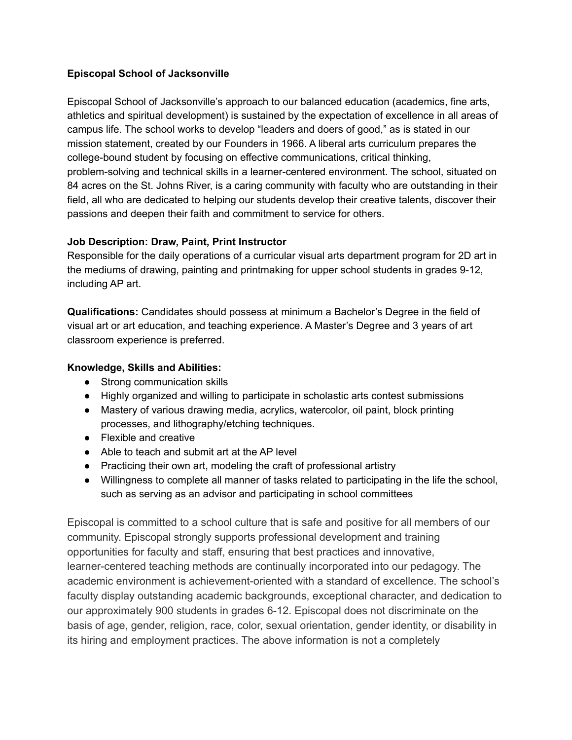## **Episcopal School of Jacksonville**

Episcopal School of Jacksonville's approach to our balanced education (academics, fine arts, athletics and spiritual development) is sustained by the expectation of excellence in all areas of campus life. The school works to develop "leaders and doers of good," as is stated in our mission statement, created by our Founders in 1966. A liberal arts curriculum prepares the college-bound student by focusing on effective communications, critical thinking, problem-solving and technical skills in a learner-centered environment. The school, situated on 84 acres on the St. Johns River, is a caring community with faculty who are outstanding in their field, all who are dedicated to helping our students develop their creative talents, discover their passions and deepen their faith and commitment to service for others.

## **Job Description: Draw, Paint, Print Instructor**

Responsible for the daily operations of a curricular visual arts department program for 2D art in the mediums of drawing, painting and printmaking for upper school students in grades 9-12, including AP art.

**Qualifications:** Candidates should possess at minimum a Bachelor's Degree in the field of visual art or art education, and teaching experience. A Master's Degree and 3 years of art classroom experience is preferred.

## **Knowledge, Skills and Abilities:**

- Strong communication skills
- Highly organized and willing to participate in scholastic arts contest submissions
- Mastery of various drawing media, acrylics, watercolor, oil paint, block printing processes, and lithography/etching techniques.
- Flexible and creative
- Able to teach and submit art at the AP level
- Practicing their own art, modeling the craft of professional artistry
- Willingness to complete all manner of tasks related to participating in the life the school, such as serving as an advisor and participating in school committees

Episcopal is committed to a school culture that is safe and positive for all members of our community. Episcopal strongly supports professional development and training opportunities for faculty and staff, ensuring that best practices and innovative, learner-centered teaching methods are continually incorporated into our pedagogy. The academic environment is achievement-oriented with a standard of excellence. The school's faculty display outstanding academic backgrounds, exceptional character, and dedication to our approximately 900 students in grades 6-12. Episcopal does not discriminate on the basis of age, gender, religion, race, color, sexual orientation, gender identity, or disability in its hiring and employment practices. The above information is not a completely